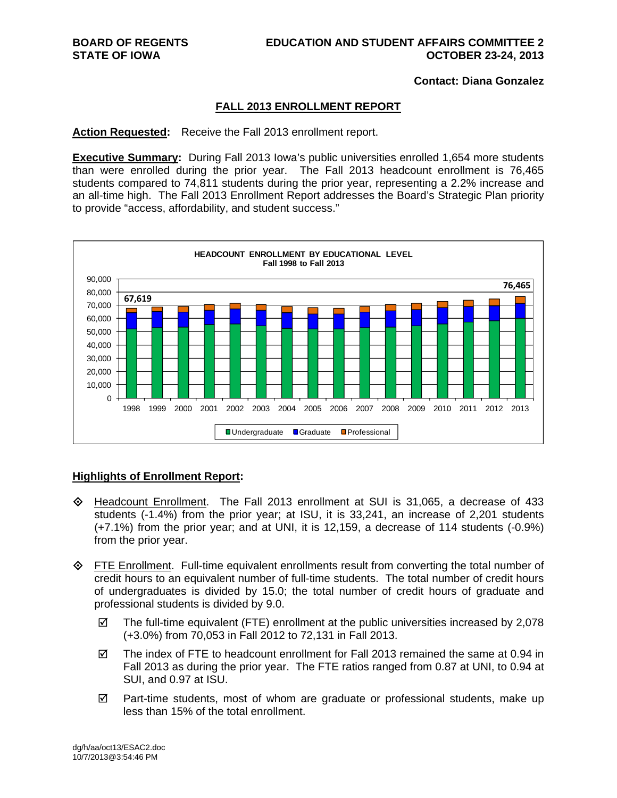#### **Contact: Diana Gonzalez**

#### **FALL 2013 ENROLLMENT REPORT**

**Action Requested:** Receive the Fall 2013 enrollment report.

**Executive Summary:** During Fall 2013 Iowa's public universities enrolled 1,654 more students than were enrolled during the prior year. The Fall 2013 headcount enrollment is 76,465 students compared to 74,811 students during the prior year, representing a 2.2% increase and an all-time high. The Fall 2013 Enrollment Report addresses the Board's Strategic Plan priority to provide "access, affordability, and student success."



### **Highlights of Enrollment Report:**

- Headcount Enrollment. The Fall 2013 enrollment at SUI is 31,065, a decrease of 433 students (-1.4%) from the prior year; at ISU, it is 33,241, an increase of 2,201 students (+7.1%) from the prior year; and at UNI, it is 12,159, a decrease of 114 students (-0.9%) from the prior year.
- FTE Enrollment. Full-time equivalent enrollments result from converting the total number of credit hours to an equivalent number of full-time students. The total number of credit hours of undergraduates is divided by 15.0; the total number of credit hours of graduate and professional students is divided by 9.0.
	- $\boxtimes$  The full-time equivalent (FTE) enrollment at the public universities increased by 2,078 (+3.0%) from 70,053 in Fall 2012 to 72,131 in Fall 2013.
	- $\boxtimes$  The index of FTE to headcount enrollment for Fall 2013 remained the same at 0.94 in Fall 2013 as during the prior year. The FTE ratios ranged from 0.87 at UNI, to 0.94 at SUI, and 0.97 at ISU.
	- $\boxtimes$  Part-time students, most of whom are graduate or professional students, make up less than 15% of the total enrollment.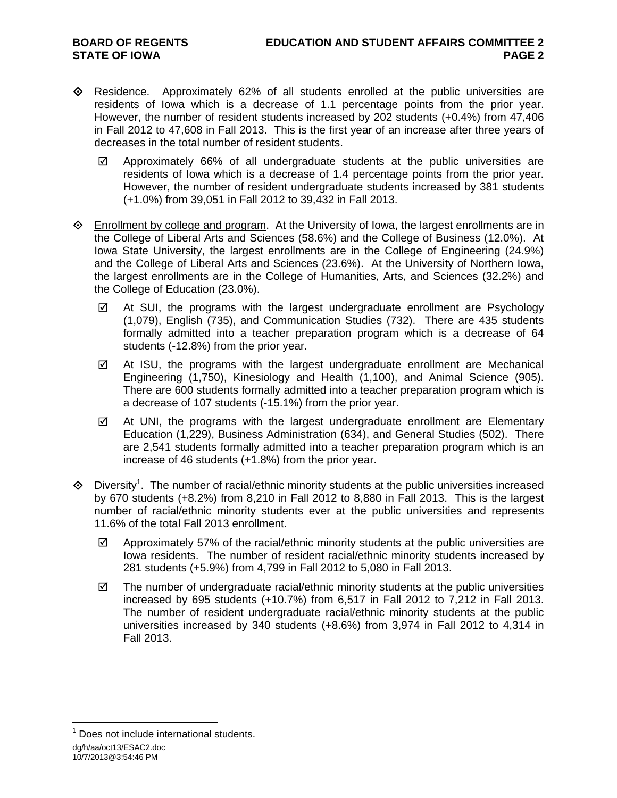- $\Diamond$  Residence. Approximately 62% of all students enrolled at the public universities are residents of Iowa which is a decrease of 1.1 percentage points from the prior year. However, the number of resident students increased by 202 students (+0.4%) from 47,406 in Fall 2012 to 47,608 in Fall 2013. This is the first year of an increase after three years of decreases in the total number of resident students.
	- $\boxtimes$  Approximately 66% of all undergraduate students at the public universities are residents of Iowa which is a decrease of 1.4 percentage points from the prior year. However, the number of resident undergraduate students increased by 381 students (+1.0%) from 39,051 in Fall 2012 to 39,432 in Fall 2013.
- $\diamond$  Enrollment by college and program. At the University of Iowa, the largest enrollments are in the College of Liberal Arts and Sciences (58.6%) and the College of Business (12.0%). At Iowa State University, the largest enrollments are in the College of Engineering (24.9%) and the College of Liberal Arts and Sciences (23.6%). At the University of Northern Iowa, the largest enrollments are in the College of Humanities, Arts, and Sciences (32.2%) and the College of Education (23.0%).
	- $\boxtimes$  At SUI, the programs with the largest undergraduate enrollment are Psychology (1,079), English (735), and Communication Studies (732). There are 435 students formally admitted into a teacher preparation program which is a decrease of 64 students (-12.8%) from the prior year.
	- $\boxtimes$  At ISU, the programs with the largest undergraduate enrollment are Mechanical Engineering (1,750), Kinesiology and Health (1,100), and Animal Science (905). There are 600 students formally admitted into a teacher preparation program which is a decrease of 107 students (-15.1%) from the prior year.
	- $\boxtimes$  At UNI, the programs with the largest undergraduate enrollment are Elementary Education (1,229), Business Administration (634), and General Studies (502). There are 2,541 students formally admitted into a teacher preparation program which is an increase of 46 students (+1.8%) from the prior year.
- $\diamond$  Diversity<sup>1</sup>. The number of racial/ethnic minority students at the public universities increased by 670 students (+8.2%) from 8,210 in Fall 2012 to 8,880 in Fall 2013. This is the largest number of racial/ethnic minority students ever at the public universities and represents 11.6% of the total Fall 2013 enrollment.
	- $\boxtimes$  Approximately 57% of the racial/ethnic minority students at the public universities are Iowa residents. The number of resident racial/ethnic minority students increased by 281 students (+5.9%) from 4,799 in Fall 2012 to 5,080 in Fall 2013.
	- $\boxtimes$  The number of undergraduate racial/ethnic minority students at the public universities increased by 695 students (+10.7%) from 6,517 in Fall 2012 to 7,212 in Fall 2013. The number of resident undergraduate racial/ethnic minority students at the public universities increased by 340 students (+8.6%) from 3,974 in Fall 2012 to 4,314 in Fall 2013.

10/7/2013@3:54:46 PM

dg/h/aa/oct13/ESAC2.doc  $\overline{a}$ <sup>1</sup> Does not include international students.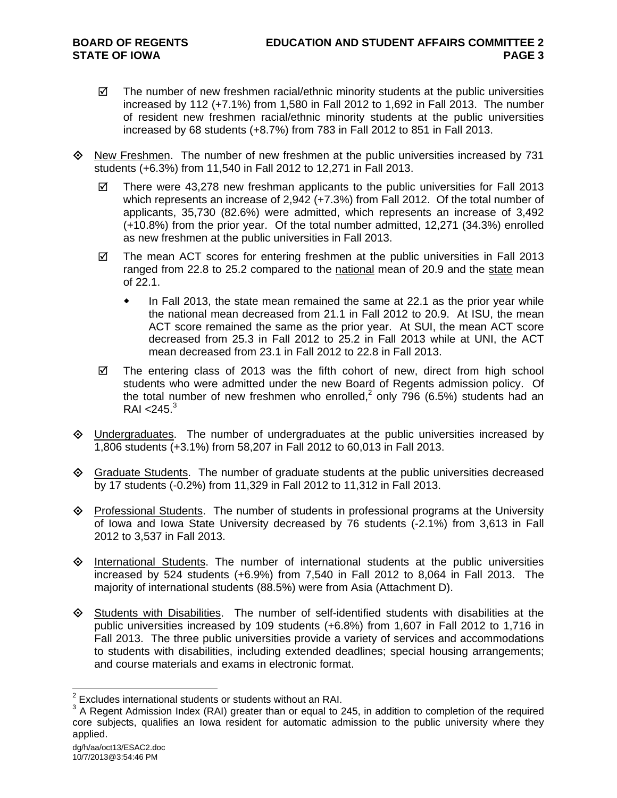- $\boxtimes$  The number of new freshmen racial/ethnic minority students at the public universities increased by 112 (+7.1%) from 1,580 in Fall 2012 to 1,692 in Fall 2013. The number of resident new freshmen racial/ethnic minority students at the public universities increased by 68 students (+8.7%) from 783 in Fall 2012 to 851 in Fall 2013.
- $\Diamond$  New Freshmen. The number of new freshmen at the public universities increased by 731 students (+6.3%) from 11,540 in Fall 2012 to 12,271 in Fall 2013.
	- $\boxtimes$  There were 43,278 new freshman applicants to the public universities for Fall 2013 which represents an increase of 2,942 (+7.3%) from Fall 2012. Of the total number of applicants, 35,730 (82.6%) were admitted, which represents an increase of 3,492 (+10.8%) from the prior year. Of the total number admitted, 12,271 (34.3%) enrolled as new freshmen at the public universities in Fall 2013.
	- $\boxtimes$  The mean ACT scores for entering freshmen at the public universities in Fall 2013 ranged from 22.8 to 25.2 compared to the national mean of 20.9 and the state mean of 22.1.
		- In Fall 2013, the state mean remained the same at 22.1 as the prior year while the national mean decreased from 21.1 in Fall 2012 to 20.9. At ISU, the mean ACT score remained the same as the prior year. At SUI, the mean ACT score decreased from 25.3 in Fall 2012 to 25.2 in Fall 2013 while at UNI, the ACT mean decreased from 23.1 in Fall 2012 to 22.8 in Fall 2013.
	- $\boxtimes$  The entering class of 2013 was the fifth cohort of new, direct from high school students who were admitted under the new Board of Regents admission policy. Of the total number of new freshmen who enrolled,<sup>2</sup> only 796 (6.5%) students had an  $RAI < 245.<sup>3</sup>$
- $\Diamond$  Undergraduates. The number of undergraduates at the public universities increased by 1,806 students (+3.1%) from 58,207 in Fall 2012 to 60,013 in Fall 2013.
- $\Diamond$  Graduate Students. The number of graduate students at the public universities decreased by 17 students (-0.2%) from 11,329 in Fall 2012 to 11,312 in Fall 2013.
- $\Diamond$  Professional Students. The number of students in professional programs at the University of Iowa and Iowa State University decreased by 76 students (-2.1%) from 3,613 in Fall 2012 to 3,537 in Fall 2013.
- $\Diamond$  International Students. The number of international students at the public universities increased by 524 students (+6.9%) from 7,540 in Fall 2012 to 8,064 in Fall 2013. The majority of international students (88.5%) were from Asia (Attachment D).
- $\Diamond$  Students with Disabilities. The number of self-identified students with disabilities at the public universities increased by 109 students (+6.8%) from 1,607 in Fall 2012 to 1,716 in Fall 2013. The three public universities provide a variety of services and accommodations to students with disabilities, including extended deadlines; special housing arrangements; and course materials and exams in electronic format.

 $\overline{a}$ 

 $2$  Excludes international students or students without an RAI.

 $3$  A Regent Admission Index (RAI) greater than or equal to 245, in addition to completion of the required core subjects, qualifies an Iowa resident for automatic admission to the public university where they applied.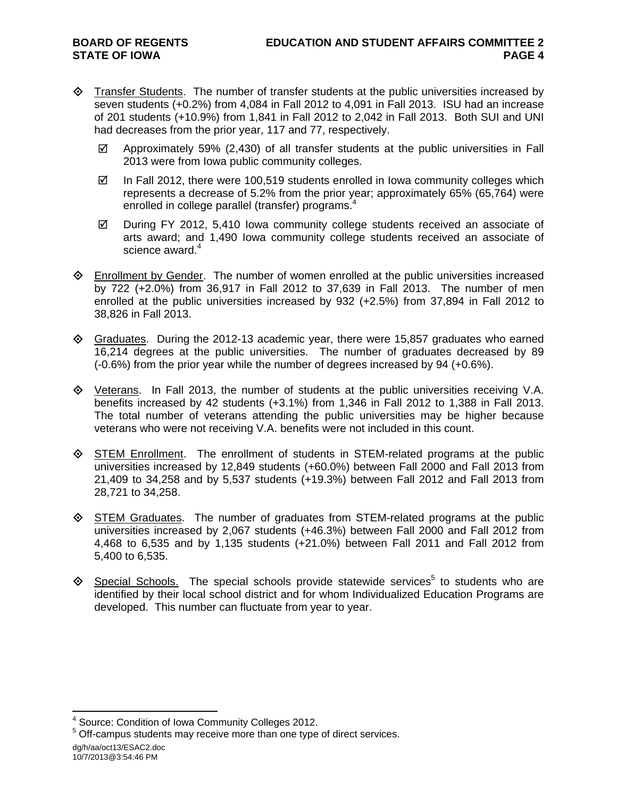- $\Diamond$  Transfer Students. The number of transfer students at the public universities increased by seven students (+0.2%) from 4,084 in Fall 2012 to 4,091 in Fall 2013. ISU had an increase of 201 students (+10.9%) from 1,841 in Fall 2012 to 2,042 in Fall 2013. Both SUI and UNI had decreases from the prior year, 117 and 77, respectively.
	- $\boxtimes$  Approximately 59% (2,430) of all transfer students at the public universities in Fall 2013 were from Iowa public community colleges.
	- $\boxtimes$  In Fall 2012, there were 100,519 students enrolled in Iowa community colleges which represents a decrease of 5.2% from the prior year; approximately 65% (65,764) were enrolled in college parallel (transfer) programs.<sup>4</sup>
	- $\boxtimes$  During FY 2012, 5,410 lowa community college students received an associate of arts award; and 1,490 Iowa community college students received an associate of science award.<sup>4</sup>
- $\Diamond$  Enrollment by Gender. The number of women enrolled at the public universities increased by 722 (+2.0%) from 36,917 in Fall 2012 to 37,639 in Fall 2013. The number of men enrolled at the public universities increased by 932 (+2.5%) from 37,894 in Fall 2012 to 38,826 in Fall 2013.
- $\Diamond$  Graduates. During the 2012-13 academic year, there were 15,857 graduates who earned 16,214 degrees at the public universities. The number of graduates decreased by 89 (-0.6%) from the prior year while the number of degrees increased by 94 (+0.6%).
- $\diamond$  Veterans. In Fall 2013, the number of students at the public universities receiving V.A. benefits increased by 42 students (+3.1%) from 1,346 in Fall 2012 to 1,388 in Fall 2013. The total number of veterans attending the public universities may be higher because veterans who were not receiving V.A. benefits were not included in this count.
- STEM Enrollment. The enrollment of students in STEM-related programs at the public universities increased by 12,849 students (+60.0%) between Fall 2000 and Fall 2013 from 21,409 to 34,258 and by 5,537 students (+19.3%) between Fall 2012 and Fall 2013 from 28,721 to 34,258.
- $\diamond$  STEM Graduates. The number of graduates from STEM-related programs at the public universities increased by 2,067 students (+46.3%) between Fall 2000 and Fall 2012 from 4,468 to 6,535 and by 1,135 students (+21.0%) between Fall 2011 and Fall 2012 from 5,400 to 6,535.
- $\diamond$  Special Schools. The special schools provide statewide services<sup>5</sup> to students who are identified by their local school district and for whom Individualized Education Programs are developed. This number can fluctuate from year to year.

dg/h/aa/oct13/ESAC2.doc 10/7/2013@3:54:46 PM

 $\overline{a}$ 

<sup>&</sup>lt;sup>4</sup> Source: Condition of Iowa Community Colleges 2012.

<sup>&</sup>lt;sup>5</sup> Off-campus students may receive more than one type of direct services.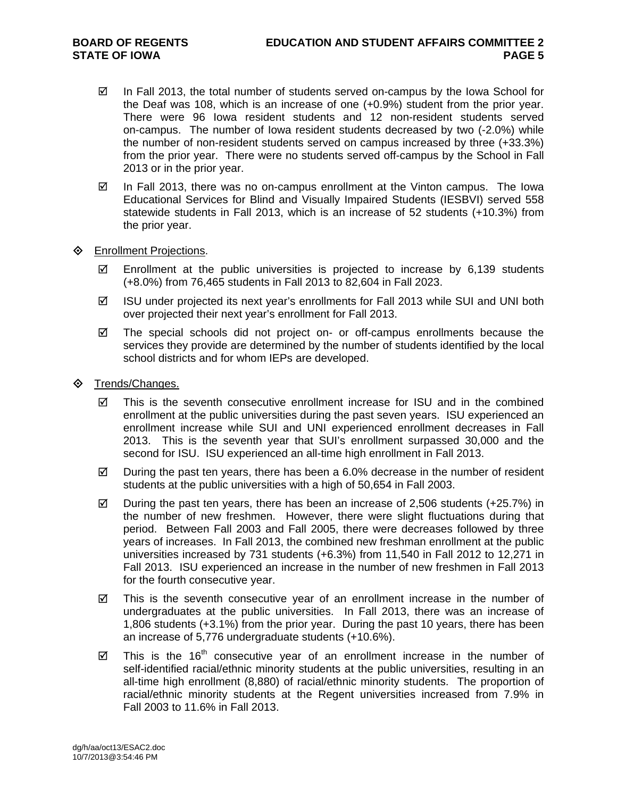- $\boxtimes$  In Fall 2013, the total number of students served on-campus by the Iowa School for the Deaf was 108, which is an increase of one (+0.9%) student from the prior year. There were 96 Iowa resident students and 12 non-resident students served on-campus. The number of Iowa resident students decreased by two (-2.0%) while the number of non-resident students served on campus increased by three (+33.3%) from the prior year. There were no students served off-campus by the School in Fall 2013 or in the prior year.
- $\boxtimes$  In Fall 2013, there was no on-campus enrollment at the Vinton campus. The Iowa Educational Services for Blind and Visually Impaired Students (IESBVI) served 558 statewide students in Fall 2013, which is an increase of 52 students (+10.3%) from the prior year.

### **♦** Enrollment Projections.

- $\boxtimes$  Enrollment at the public universities is projected to increase by 6,139 students (+8.0%) from 76,465 students in Fall 2013 to 82,604 in Fall 2023.
- $\boxtimes$  ISU under projected its next year's enrollments for Fall 2013 while SUI and UNI both over projected their next year's enrollment for Fall 2013.
- $\boxtimes$  The special schools did not project on- or off-campus enrollments because the services they provide are determined by the number of students identified by the local school districts and for whom IEPs are developed.
- **♦ Trends/Changes.** 
	- $\boxtimes$  This is the seventh consecutive enrollment increase for ISU and in the combined enrollment at the public universities during the past seven years. ISU experienced an enrollment increase while SUI and UNI experienced enrollment decreases in Fall 2013. This is the seventh year that SUI's enrollment surpassed 30,000 and the second for ISU. ISU experienced an all-time high enrollment in Fall 2013.
	- $\boxtimes$  During the past ten years, there has been a 6.0% decrease in the number of resident students at the public universities with a high of 50,654 in Fall 2003.
	- $\boxtimes$  During the past ten years, there has been an increase of 2,506 students (+25.7%) in the number of new freshmen. However, there were slight fluctuations during that period. Between Fall 2003 and Fall 2005, there were decreases followed by three years of increases. In Fall 2013, the combined new freshman enrollment at the public universities increased by 731 students (+6.3%) from 11,540 in Fall 2012 to 12,271 in Fall 2013. ISU experienced an increase in the number of new freshmen in Fall 2013 for the fourth consecutive year.
	- $\boxtimes$  This is the seventh consecutive year of an enrollment increase in the number of undergraduates at the public universities. In Fall 2013, there was an increase of 1,806 students (+3.1%) from the prior year. During the past 10 years, there has been an increase of 5,776 undergraduate students (+10.6%).
	- $\boxtimes$  This is the 16<sup>th</sup> consecutive year of an enrollment increase in the number of self-identified racial/ethnic minority students at the public universities, resulting in an all-time high enrollment (8,880) of racial/ethnic minority students. The proportion of racial/ethnic minority students at the Regent universities increased from 7.9% in Fall 2003 to 11.6% in Fall 2013.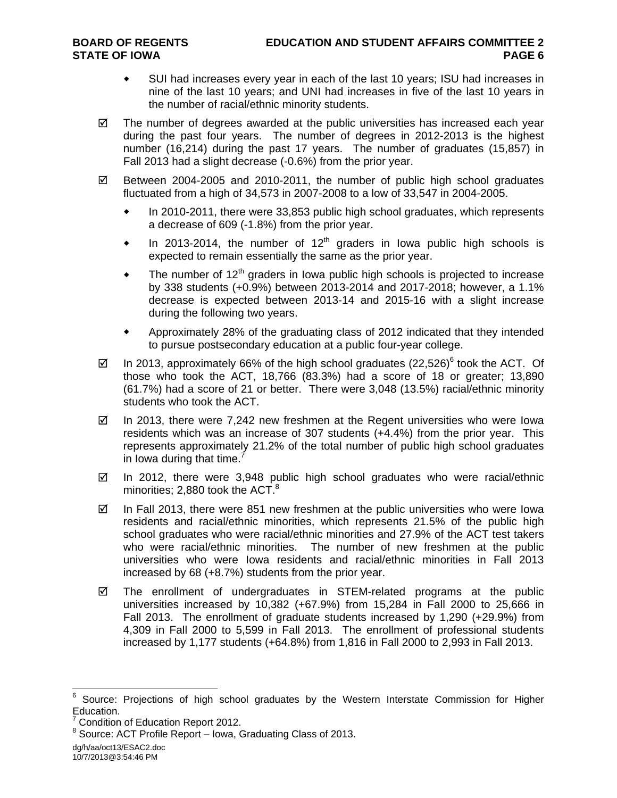- SUI had increases every year in each of the last 10 years; ISU had increases in nine of the last 10 years; and UNI had increases in five of the last 10 years in the number of racial/ethnic minority students.
- $\boxtimes$  The number of degrees awarded at the public universities has increased each year during the past four years. The number of degrees in 2012-2013 is the highest number (16,214) during the past 17 years. The number of graduates (15,857) in Fall 2013 had a slight decrease (-0.6%) from the prior year.
- $\boxtimes$  Between 2004-2005 and 2010-2011, the number of public high school graduates fluctuated from a high of 34,573 in 2007-2008 to a low of 33,547 in 2004-2005.
	- In 2010-2011, there were 33,853 public high school graduates, which represents a decrease of 609 (-1.8%) from the prior year.
	- In 2013-2014, the number of 12<sup>th</sup> graders in Iowa public high schools is expected to remain essentially the same as the prior year.
	- $\bullet$  The number of 12<sup>th</sup> graders in Iowa public high schools is projected to increase by 338 students (+0.9%) between 2013-2014 and 2017-2018; however, a 1.1% decrease is expected between 2013-14 and 2015-16 with a slight increase during the following two years.
	- Approximately 28% of the graduating class of 2012 indicated that they intended to pursue postsecondary education at a public four-year college.
- $\boxtimes$  In 2013, approximately 66% of the high school graduates (22,526)<sup>6</sup> took the ACT. Of those who took the ACT, 18,766 (83.3%) had a score of 18 or greater; 13,890 (61.7%) had a score of 21 or better. There were 3,048 (13.5%) racial/ethnic minority students who took the ACT.
- $\boxtimes$  In 2013, there were 7,242 new freshmen at the Regent universities who were lowa residents which was an increase of 307 students (+4.4%) from the prior year. This represents approximately 21.2% of the total number of public high school graduates in lowa during that time. $<sup>7</sup>$ </sup>
- $\boxtimes$  In 2012, there were 3,948 public high school graduates who were racial/ethnic minorities; 2,880 took the ACT. $8$
- $\boxtimes$  In Fall 2013, there were 851 new freshmen at the public universities who were lowa residents and racial/ethnic minorities, which represents 21.5% of the public high school graduates who were racial/ethnic minorities and 27.9% of the ACT test takers who were racial/ethnic minorities. The number of new freshmen at the public universities who were Iowa residents and racial/ethnic minorities in Fall 2013 increased by 68 (+8.7%) students from the prior year.
- The enrollment of undergraduates in STEM-related programs at the public universities increased by 10,382 (+67.9%) from 15,284 in Fall 2000 to 25,666 in Fall 2013. The enrollment of graduate students increased by 1,290 (+29.9%) from 4,309 in Fall 2000 to 5,599 in Fall 2013. The enrollment of professional students increased by 1,177 students (+64.8%) from 1,816 in Fall 2000 to 2,993 in Fall 2013.

dg/h/aa/oct13/ESAC2.doc 10/7/2013@3:54:46 PM

 $\overline{a}$ 

<sup>6</sup> Source: Projections of high school graduates by the Western Interstate Commission for Higher Education.

<sup>7</sup> Condition of Education Report 2012.

<sup>&</sup>lt;sup>8</sup> Source: ACT Profile Report – Iowa, Graduating Class of 2013.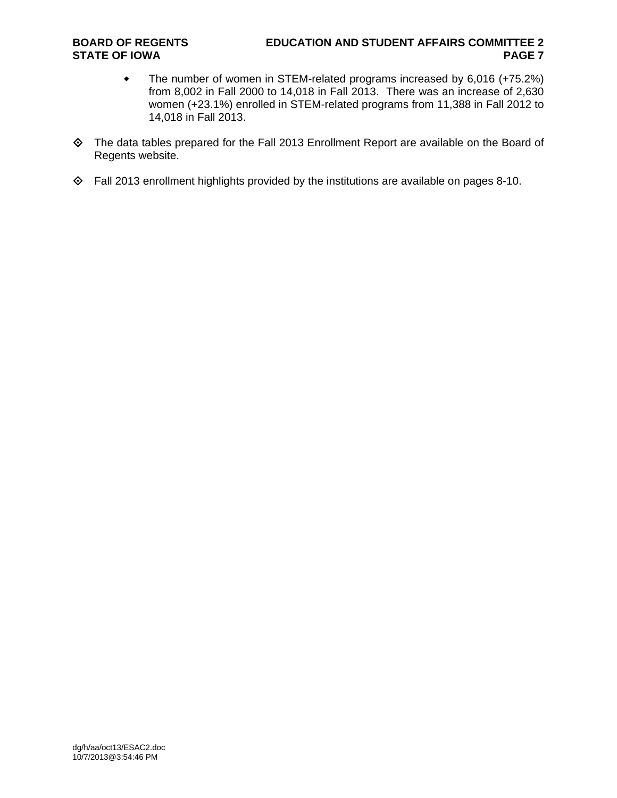### **BOARD OF REGENTS EDUCATION AND STUDENT AFFAIRS COMMITTEE 2 STATE OF IOWA** PAGE 7

- The number of women in STEM-related programs increased by 6,016 (+75.2%) from 8,002 in Fall 2000 to 14,018 in Fall 2013. There was an increase of 2,630 women (+23.1%) enrolled in STEM-related programs from 11,388 in Fall 2012 to 14,018 in Fall 2013.
- The data tables prepared for the Fall 2013 Enrollment Report are available on the Board of Regents website.
- Fall 2013 enrollment highlights provided by the institutions are available on pages 8-10.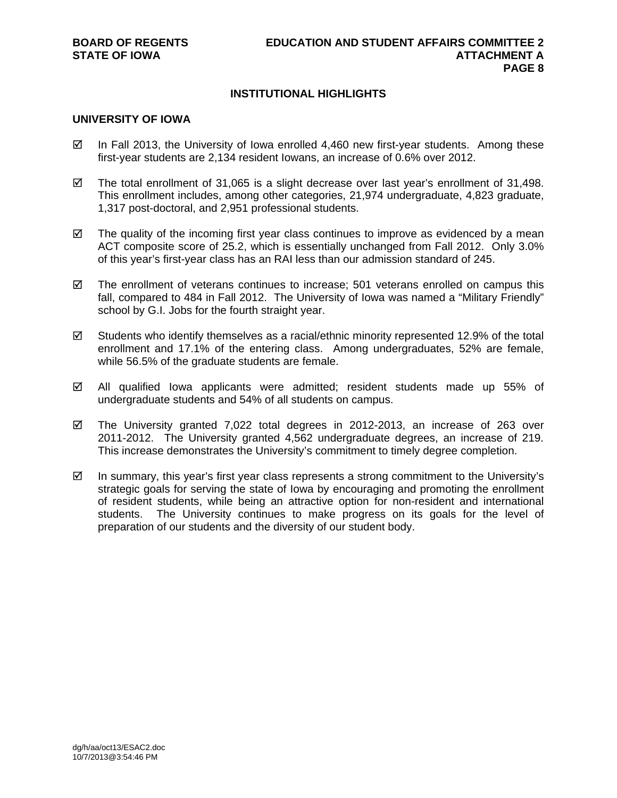## **INSTITUTIONAL HIGHLIGHTS**

#### **UNIVERSITY OF IOWA**

- $\boxtimes$  In Fall 2013, the University of Iowa enrolled 4,460 new first-year students. Among these first-year students are 2,134 resident Iowans, an increase of 0.6% over 2012.
- $\boxtimes$  The total enrollment of 31,065 is a slight decrease over last year's enrollment of 31,498. This enrollment includes, among other categories, 21,974 undergraduate, 4,823 graduate, 1,317 post-doctoral, and 2,951 professional students.
- $\boxtimes$  The quality of the incoming first year class continues to improve as evidenced by a mean ACT composite score of 25.2, which is essentially unchanged from Fall 2012. Only 3.0% of this year's first-year class has an RAI less than our admission standard of 245.
- $\boxtimes$  The enrollment of veterans continues to increase; 501 veterans enrolled on campus this fall, compared to 484 in Fall 2012. The University of Iowa was named a "Military Friendly" school by G.I. Jobs for the fourth straight year.
- $\boxtimes$  Students who identify themselves as a racial/ethnic minority represented 12.9% of the total enrollment and 17.1% of the entering class. Among undergraduates, 52% are female, while 56.5% of the graduate students are female.
- All qualified Iowa applicants were admitted; resident students made up 55% of undergraduate students and 54% of all students on campus.
- $\boxtimes$  The University granted 7,022 total degrees in 2012-2013, an increase of 263 over 2011-2012. The University granted 4,562 undergraduate degrees, an increase of 219. This increase demonstrates the University's commitment to timely degree completion.
- $\boxtimes$  In summary, this year's first year class represents a strong commitment to the University's strategic goals for serving the state of Iowa by encouraging and promoting the enrollment of resident students, while being an attractive option for non-resident and international students. The University continues to make progress on its goals for the level of preparation of our students and the diversity of our student body.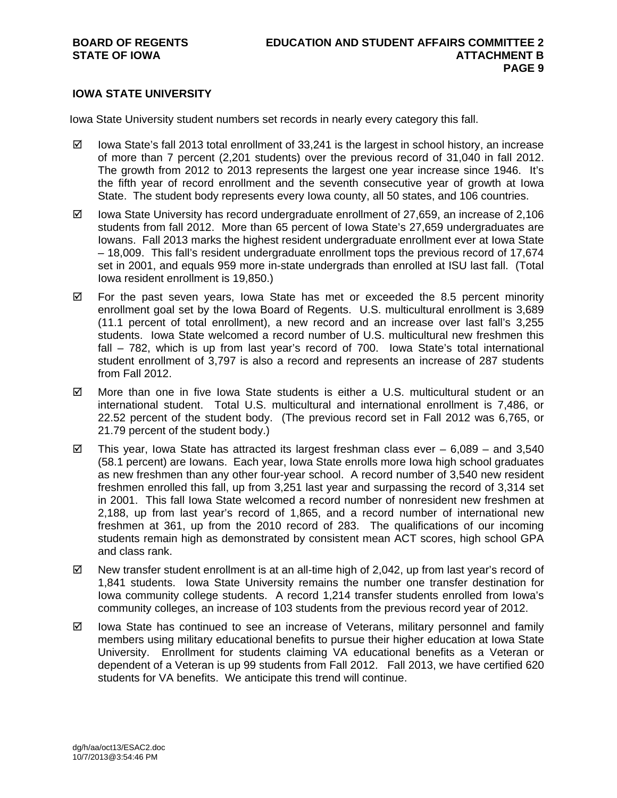## **IOWA STATE UNIVERSITY**

Iowa State University student numbers set records in nearly every category this fall.

- $\boxtimes$  lowa State's fall 2013 total enrollment of 33,241 is the largest in school history, an increase of more than 7 percent (2,201 students) over the previous record of 31,040 in fall 2012. The growth from 2012 to 2013 represents the largest one year increase since 1946. It's the fifth year of record enrollment and the seventh consecutive year of growth at Iowa State. The student body represents every Iowa county, all 50 states, and 106 countries.
- $\boxtimes$  Iowa State University has record undergraduate enrollment of 27,659, an increase of 2,106 students from fall 2012. More than 65 percent of Iowa State's 27,659 undergraduates are Iowans. Fall 2013 marks the highest resident undergraduate enrollment ever at Iowa State – 18,009. This fall's resident undergraduate enrollment tops the previous record of 17,674 set in 2001, and equals 959 more in-state undergrads than enrolled at ISU last fall. (Total Iowa resident enrollment is 19,850.)
- $\boxtimes$  For the past seven years, Iowa State has met or exceeded the 8.5 percent minority enrollment goal set by the Iowa Board of Regents. U.S. multicultural enrollment is 3,689 (11.1 percent of total enrollment), a new record and an increase over last fall's 3,255 students. Iowa State welcomed a record number of U.S. multicultural new freshmen this fall – 782, which is up from last year's record of 700. Iowa State's total international student enrollment of 3,797 is also a record and represents an increase of 287 students from Fall 2012.
- $\boxtimes$  More than one in five Iowa State students is either a U.S. multicultural student or an international student. Total U.S. multicultural and international enrollment is 7,486, or 22.52 percent of the student body. (The previous record set in Fall 2012 was 6,765, or 21.79 percent of the student body.)
- $\boxtimes$  This year, Iowa State has attracted its largest freshman class ever 6,089 and 3,540 (58.1 percent) are Iowans. Each year, Iowa State enrolls more Iowa high school graduates as new freshmen than any other four-year school. A record number of 3,540 new resident freshmen enrolled this fall, up from 3,251 last year and surpassing the record of 3,314 set in 2001. This fall Iowa State welcomed a record number of nonresident new freshmen at 2,188, up from last year's record of 1,865, and a record number of international new freshmen at 361, up from the 2010 record of 283. The qualifications of our incoming students remain high as demonstrated by consistent mean ACT scores, high school GPA and class rank.
- $\boxtimes$  New transfer student enrollment is at an all-time high of 2,042, up from last year's record of 1,841 students. Iowa State University remains the number one transfer destination for Iowa community college students. A record 1,214 transfer students enrolled from Iowa's community colleges, an increase of 103 students from the previous record year of 2012.
- $\boxtimes$  Iowa State has continued to see an increase of Veterans, military personnel and family members using military educational benefits to pursue their higher education at Iowa State University. Enrollment for students claiming VA educational benefits as a Veteran or dependent of a Veteran is up 99 students from Fall 2012. Fall 2013, we have certified 620 students for VA benefits. We anticipate this trend will continue.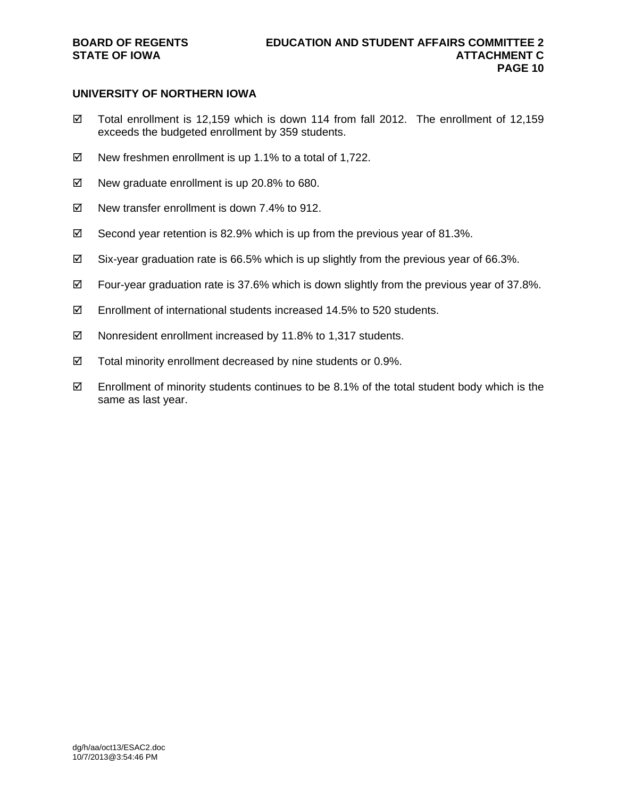## **UNIVERSITY OF NORTHERN IOWA**

- $\boxtimes$  Total enrollment is 12,159 which is down 114 from fall 2012. The enrollment of 12,159 exceeds the budgeted enrollment by 359 students.
- $\boxtimes$  New freshmen enrollment is up 1.1% to a total of 1,722.
- $\boxtimes$  New graduate enrollment is up 20.8% to 680.
- $\boxtimes$  New transfer enrollment is down 7.4% to 912.
- $\boxtimes$  Second year retention is 82.9% which is up from the previous year of 81.3%.
- $\boxtimes$  Six-year graduation rate is 66.5% which is up slightly from the previous year of 66.3%.
- $\boxtimes$  Four-year graduation rate is 37.6% which is down slightly from the previous year of 37.8%.
- $\boxtimes$  Enrollment of international students increased 14.5% to 520 students.
- $\boxtimes$  Nonresident enrollment increased by 11.8% to 1,317 students.
- $\boxtimes$  Total minority enrollment decreased by nine students or 0.9%.
- $\boxtimes$  Enrollment of minority students continues to be 8.1% of the total student body which is the same as last year.